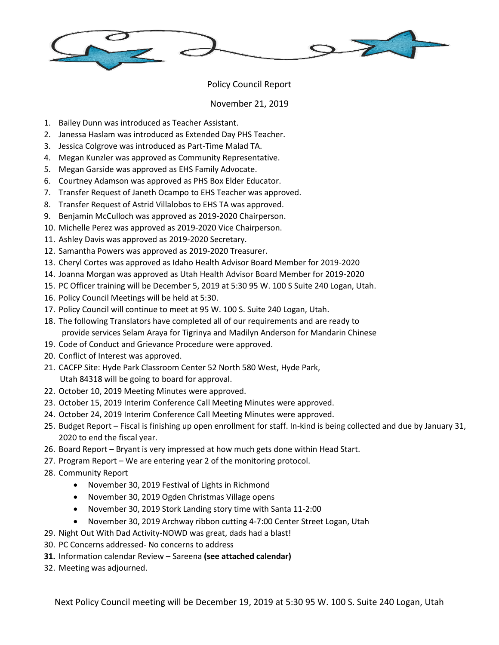

## Policy Council Report

## November 21, 2019

- 1. Bailey Dunn was introduced as Teacher Assistant.
- 2. Janessa Haslam was introduced as Extended Day PHS Teacher.
- 3. Jessica Colgrove was introduced as Part-Time Malad TA.
- 4. Megan Kunzler was approved as Community Representative.
- 5. Megan Garside was approved as EHS Family Advocate.
- 6. Courtney Adamson was approved as PHS Box Elder Educator.
- 7. Transfer Request of Janeth Ocampo to EHS Teacher was approved.
- 8. Transfer Request of Astrid Villalobos to EHS TA was approved.
- 9. Benjamin McCulloch was approved as 2019-2020 Chairperson.
- 10. Michelle Perez was approved as 2019-2020 Vice Chairperson.
- 11. Ashley Davis was approved as 2019-2020 Secretary.
- 12. Samantha Powers was approved as 2019-2020 Treasurer.
- 13. Cheryl Cortes was approved as Idaho Health Advisor Board Member for 2019-2020
- 14. Joanna Morgan was approved as Utah Health Advisor Board Member for 2019-2020
- 15. PC Officer training will be December 5, 2019 at 5:30 95 W. 100 S Suite 240 Logan, Utah.
- 16. Policy Council Meetings will be held at 5:30.
- 17. Policy Council will continue to meet at 95 W. 100 S. Suite 240 Logan, Utah.
- 18. The following Translators have completed all of our requirements and are ready to provide services Selam Araya for Tigrinya and Madilyn Anderson for Mandarin Chinese
- 19. Code of Conduct and Grievance Procedure were approved.
- 20. Conflict of Interest was approved.
- 21. CACFP Site: Hyde Park Classroom Center 52 North 580 West, Hyde Park, Utah 84318 will be going to board for approval.
- 22. October 10, 2019 Meeting Minutes were approved.
- 23. October 15, 2019 Interim Conference Call Meeting Minutes were approved.
- 24. October 24, 2019 Interim Conference Call Meeting Minutes were approved.
- 25. Budget Report Fiscal is finishing up open enrollment for staff. In-kind is being collected and due by January 31, 2020 to end the fiscal year.
- 26. Board Report Bryant is very impressed at how much gets done within Head Start.
- 27. Program Report We are entering year 2 of the monitoring protocol.
- 28. Community Report
	- November 30, 2019 Festival of Lights in Richmond
	- November 30, 2019 Ogden Christmas Village opens
	- November 30, 2019 Stork Landing story time with Santa 11-2:00
	- November 30, 2019 Archway ribbon cutting 4-7:00 Center Street Logan, Utah
- 29. Night Out With Dad Activity-NOWD was great, dads had a blast!
- 30. PC Concerns addressed- No concerns to address
- **31.** Information calendar Review Sareena **(see attached calendar)**
- 32. Meeting was adjourned.

Next Policy Council meeting will be December 19, 2019 at 5:30 95 W. 100 S. Suite 240 Logan, Utah